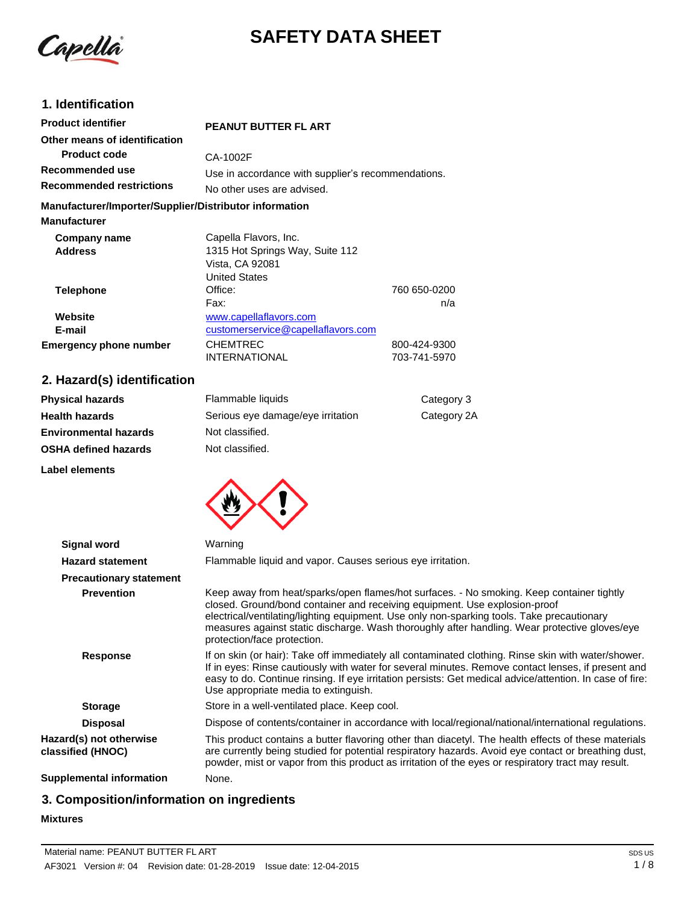

# **SAFETY DATA SHEET**

## **1. Identification**

| <b>Product identifier</b>                              | <b>PEANUT BUTTER FL ART</b>                        |              |
|--------------------------------------------------------|----------------------------------------------------|--------------|
| Other means of identification                          |                                                    |              |
| <b>Product code</b>                                    | CA-1002F                                           |              |
| Recommended use                                        | Use in accordance with supplier's recommendations. |              |
| <b>Recommended restrictions</b>                        | No other uses are advised.                         |              |
| Manufacturer/Importer/Supplier/Distributor information |                                                    |              |
| <b>Manufacturer</b>                                    |                                                    |              |
| Company name                                           | Capella Flavors, Inc.                              |              |
| <b>Address</b>                                         | 1315 Hot Springs Way, Suite 112                    |              |
|                                                        | Vista, CA 92081                                    |              |
|                                                        | <b>United States</b>                               |              |
| <b>Telephone</b>                                       | Office:                                            | 760 650-0200 |
|                                                        | Fax:                                               | n/a          |
| Website                                                | www.capellaflavors.com                             |              |
| E-mail                                                 | customerservice@capellaflavors.com                 |              |
| <b>Emergency phone number</b>                          | <b>CHEMTREC</b>                                    | 800-424-9300 |
|                                                        | INTERNATIONAL                                      | 703-741-5970 |

## **2. Hazard(s) identification**

| <b>Physical hazards</b>      | Flammable liquids                 | Category 3  |
|------------------------------|-----------------------------------|-------------|
| <b>Health hazards</b>        | Serious eye damage/eye irritation | Category 2A |
| <b>Environmental hazards</b> | Not classified.                   |             |
| <b>OSHA defined hazards</b>  | Not classified.                   |             |
| Label elements               |                                   |             |



| Signal word                                  | Warning                                                                                                                                                                                                                                                                                                                                                                                               |
|----------------------------------------------|-------------------------------------------------------------------------------------------------------------------------------------------------------------------------------------------------------------------------------------------------------------------------------------------------------------------------------------------------------------------------------------------------------|
| <b>Hazard statement</b>                      | Flammable liquid and vapor. Causes serious eye irritation.                                                                                                                                                                                                                                                                                                                                            |
| <b>Precautionary statement</b>               |                                                                                                                                                                                                                                                                                                                                                                                                       |
| <b>Prevention</b>                            | Keep away from heat/sparks/open flames/hot surfaces. - No smoking. Keep container tightly<br>closed. Ground/bond container and receiving equipment. Use explosion-proof<br>electrical/ventilating/lighting equipment. Use only non-sparking tools. Take precautionary<br>measures against static discharge. Wash thoroughly after handling. Wear protective gloves/eye<br>protection/face protection. |
| <b>Response</b>                              | If on skin (or hair): Take off immediately all contaminated clothing. Rinse skin with water/shower.<br>If in eyes: Rinse cautiously with water for several minutes. Remove contact lenses, if present and<br>easy to do. Continue rinsing. If eye irritation persists: Get medical advice/attention. In case of fire:<br>Use appropriate media to extinguish.                                         |
| <b>Storage</b>                               | Store in a well-ventilated place. Keep cool.                                                                                                                                                                                                                                                                                                                                                          |
| <b>Disposal</b>                              | Dispose of contents/container in accordance with local/regional/national/international regulations.                                                                                                                                                                                                                                                                                                   |
| Hazard(s) not otherwise<br>classified (HNOC) | This product contains a butter flavoring other than diacetyl. The health effects of these materials<br>are currently being studied for potential respiratory hazards. Avoid eye contact or breathing dust,<br>powder, mist or vapor from this product as irritation of the eyes or respiratory tract may result.                                                                                      |
| <b>Supplemental information</b>              | None.                                                                                                                                                                                                                                                                                                                                                                                                 |

## **3. Composition/information on ingredients**

## **Mixtures**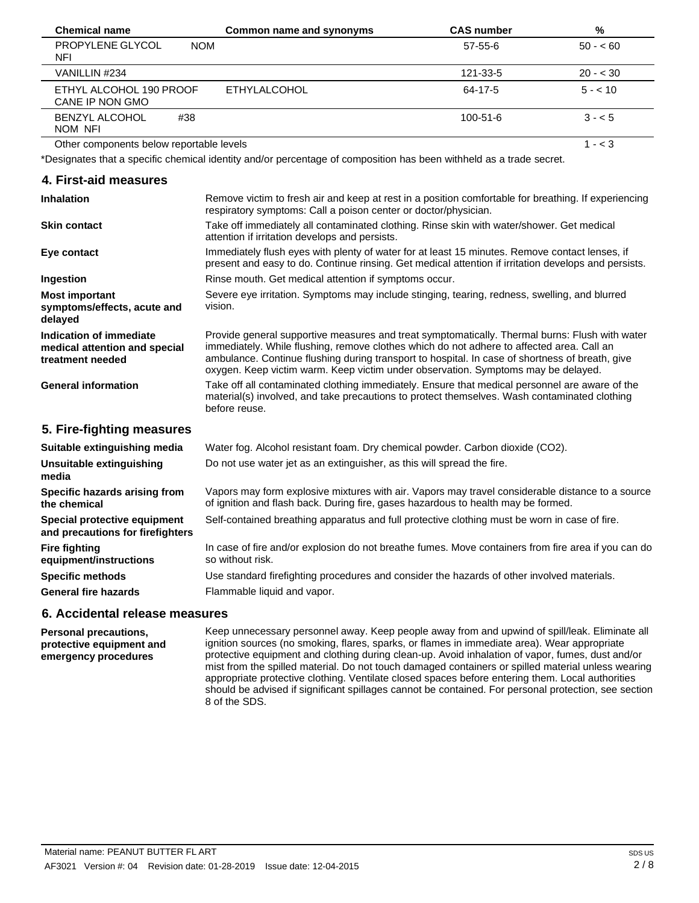| <b>Chemical name</b>                       | Common name and synonyms | <b>CAS number</b> | %         |  |
|--------------------------------------------|--------------------------|-------------------|-----------|--|
| PROPYLENE GLYCOL<br><b>NOM</b><br>NFI      |                          | $57-55-6$         | $50 - 60$ |  |
| VANILLIN #234                              |                          | 121-33-5          | $20 - 30$ |  |
| ETHYL ALCOHOL 190 PROOF<br>CANE IP NON GMO | <b>ETHYLALCOHOL</b>      | 64-17-5           | $5 - 10$  |  |
| <b>BENZYL ALCOHOL</b><br>#38<br>NOM NFI    |                          | 100-51-6          | $3 - 5$   |  |
| Other components below reportable levels   |                          |                   | l - < 3   |  |

<span id="page-1-0"></span>Other components below reportable levels

\*Designates that a specific chemical identity and/or percentage of composition has been withheld as a trade secret.

#### **4. First-aid measures**

| <b>Inhalation</b>                                                            | Remove victim to fresh air and keep at rest in a position comfortable for breathing. If experiencing<br>respiratory symptoms: Call a poison center or doctor/physician.                                                                                                                                                                                                             |
|------------------------------------------------------------------------------|-------------------------------------------------------------------------------------------------------------------------------------------------------------------------------------------------------------------------------------------------------------------------------------------------------------------------------------------------------------------------------------|
| <b>Skin contact</b>                                                          | Take off immediately all contaminated clothing. Rinse skin with water/shower. Get medical<br>attention if irritation develops and persists.                                                                                                                                                                                                                                         |
| Eye contact                                                                  | Immediately flush eyes with plenty of water for at least 15 minutes. Remove contact lenses, if<br>present and easy to do. Continue rinsing. Get medical attention if irritation develops and persists.                                                                                                                                                                              |
| Ingestion                                                                    | Rinse mouth. Get medical attention if symptoms occur.                                                                                                                                                                                                                                                                                                                               |
| <b>Most important</b><br>symptoms/effects, acute and<br>delayed              | Severe eye irritation. Symptoms may include stinging, tearing, redness, swelling, and blurred<br>vision.                                                                                                                                                                                                                                                                            |
| Indication of immediate<br>medical attention and special<br>treatment needed | Provide general supportive measures and treat symptomatically. Thermal burns: Flush with water<br>immediately. While flushing, remove clothes which do not adhere to affected area. Call an<br>ambulance. Continue flushing during transport to hospital. In case of shortness of breath, give<br>oxygen. Keep victim warm. Keep victim under observation. Symptoms may be delayed. |
| <b>General information</b>                                                   | Take off all contaminated clothing immediately. Ensure that medical personnel are aware of the<br>material(s) involved, and take precautions to protect themselves. Wash contaminated clothing<br>before reuse.                                                                                                                                                                     |
| 5. Fire-fighting measures                                                    |                                                                                                                                                                                                                                                                                                                                                                                     |
| Suitable extinguishing media                                                 | Water fog. Alcohol resistant foam. Dry chemical powder. Carbon dioxide (CO2).                                                                                                                                                                                                                                                                                                       |
| <b>Unsuitable extinguishing</b><br>media                                     | Do not use water jet as an extinguisher, as this will spread the fire.                                                                                                                                                                                                                                                                                                              |
| Specific hazards arising from<br>the chemical                                | Vapors may form explosive mixtures with air. Vapors may travel considerable distance to a source<br>of ignition and flash back. During fire, gases hazardous to health may be formed.                                                                                                                                                                                               |
| Special protective equipment<br>and precautions for firefighters             | Self-contained breathing apparatus and full protective clothing must be worn in case of fire.                                                                                                                                                                                                                                                                                       |
| <b>Fire fighting</b><br>equipment/instructions                               | In case of fire and/or explosion do not breathe fumes. Move containers from fire area if you can do<br>so without risk.                                                                                                                                                                                                                                                             |

Use standard firefighting procedures and consider the hazards of other involved materials. Flammable liquid and vapor.

#### **6. Accidental release measures**

**Personal precautions, protective equipment and emergency procedures**

**Specific methods General fire hazards**

> Keep unnecessary personnel away. Keep people away from and upwind of spill/leak. Eliminate all ignition sources (no smoking, flares, sparks, or flames in immediate area). Wear appropriate protective equipment and clothing during clean-up. Avoid inhalation of vapor, fumes, dust and/or mist from the spilled material. Do not touch damaged containers or spilled material unless wearing appropriate protective clothing. Ventilate closed spaces before entering them. Local authorities should be advised if significant spillages cannot be contained. For personal protection, see section 8 of the SDS.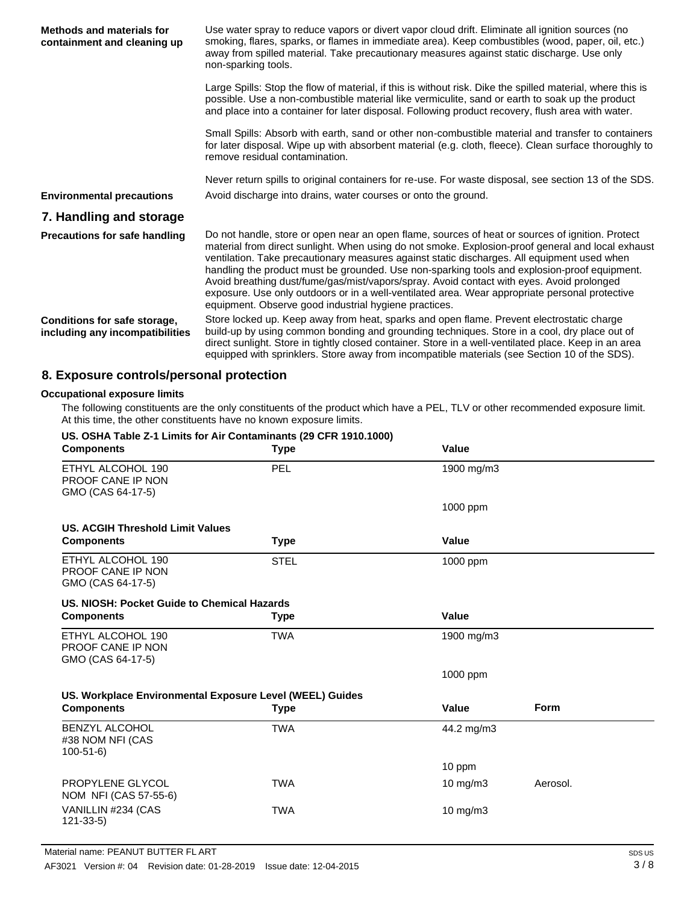| <b>Methods and materials for</b><br>containment and cleaning up | Use water spray to reduce vapors or divert vapor cloud drift. Eliminate all ignition sources (no<br>smoking, flares, sparks, or flames in immediate area). Keep combustibles (wood, paper, oil, etc.)<br>away from spilled material. Take precautionary measures against static discharge. Use only<br>non-sparking tools.                                                                                                                                                                                                                                                                                                                                   |
|-----------------------------------------------------------------|--------------------------------------------------------------------------------------------------------------------------------------------------------------------------------------------------------------------------------------------------------------------------------------------------------------------------------------------------------------------------------------------------------------------------------------------------------------------------------------------------------------------------------------------------------------------------------------------------------------------------------------------------------------|
|                                                                 | Large Spills: Stop the flow of material, if this is without risk. Dike the spilled material, where this is<br>possible. Use a non-combustible material like vermiculite, sand or earth to soak up the product<br>and place into a container for later disposal. Following product recovery, flush area with water.                                                                                                                                                                                                                                                                                                                                           |
|                                                                 | Small Spills: Absorb with earth, sand or other non-combustible material and transfer to containers<br>for later disposal. Wipe up with absorbent material (e.g. cloth, fleece). Clean surface thoroughly to<br>remove residual contamination.                                                                                                                                                                                                                                                                                                                                                                                                                |
|                                                                 | Never return spills to original containers for re-use. For waste disposal, see section 13 of the SDS.                                                                                                                                                                                                                                                                                                                                                                                                                                                                                                                                                        |
| <b>Environmental precautions</b>                                | Avoid discharge into drains, water courses or onto the ground.                                                                                                                                                                                                                                                                                                                                                                                                                                                                                                                                                                                               |
| 7. Handling and storage                                         |                                                                                                                                                                                                                                                                                                                                                                                                                                                                                                                                                                                                                                                              |
| <b>Precautions for safe handling</b>                            | Do not handle, store or open near an open flame, sources of heat or sources of ignition. Protect<br>material from direct sunlight. When using do not smoke. Explosion-proof general and local exhaust<br>ventilation. Take precautionary measures against static discharges. All equipment used when<br>handling the product must be grounded. Use non-sparking tools and explosion-proof equipment.<br>Avoid breathing dust/fume/gas/mist/vapors/spray. Avoid contact with eyes. Avoid prolonged<br>exposure. Use only outdoors or in a well-ventilated area. Wear appropriate personal protective<br>equipment. Observe good industrial hygiene practices. |
| Conditions for safe storage,<br>including any incompatibilities | Store locked up. Keep away from heat, sparks and open flame. Prevent electrostatic charge<br>build-up by using common bonding and grounding techniques. Store in a cool, dry place out of<br>direct sunlight. Store in tightly closed container. Store in a well-ventilated place. Keep in an area<br>equipped with sprinklers. Store away from incompatible materials (see Section 10 of the SDS).                                                                                                                                                                                                                                                          |

## **8. Exposure controls/personal protection**

#### **Occupational exposure limits**

The following constituents are the only constituents of the product which have a PEL, TLV or other recommended exposure limit. At this time, the other constituents have no known exposure limits.

| US. OSHA Table Z-1 Limits for Air Contaminants (29 CFR 1910.1000)  |             |                   |             |
|--------------------------------------------------------------------|-------------|-------------------|-------------|
| <b>Components</b>                                                  | <b>Type</b> | Value             |             |
| ETHYL ALCOHOL 190<br><b>PROOF CANE IP NON</b><br>GMO (CAS 64-17-5) | PEL         | 1900 mg/m3        |             |
|                                                                    |             | 1000 ppm          |             |
| <b>US. ACGIH Threshold Limit Values</b>                            |             |                   |             |
| <b>Components</b>                                                  | <b>Type</b> | <b>Value</b>      |             |
| ETHYL ALCOHOL 190<br>PROOF CANE IP NON<br>GMO (CAS 64-17-5)        | <b>STEL</b> | 1000 ppm          |             |
| US. NIOSH: Pocket Guide to Chemical Hazards                        |             |                   |             |
| <b>Components</b>                                                  | <b>Type</b> | <b>Value</b>      |             |
| ETHYL ALCOHOL 190<br>PROOF CANE IP NON<br>GMO (CAS 64-17-5)        | <b>TWA</b>  | 1900 mg/m3        |             |
|                                                                    |             | 1000 ppm          |             |
| US. Workplace Environmental Exposure Level (WEEL) Guides           |             |                   |             |
| <b>Components</b>                                                  | <b>Type</b> | Value             | <b>Form</b> |
| <b>BENZYL ALCOHOL</b><br>#38 NOM NFI (CAS<br>$100-51-6$            | <b>TWA</b>  | 44.2 mg/m3        |             |
|                                                                    |             | 10 ppm            |             |
| PROPYLENE GLYCOL<br>NOM NFI (CAS 57-55-6)                          | <b>TWA</b>  | $10 \text{ mg/m}$ | Aerosol.    |
| VANILLIN #234 (CAS<br>$121 - 33 - 5$                               | <b>TWA</b>  | $10 \text{ mg/m}$ |             |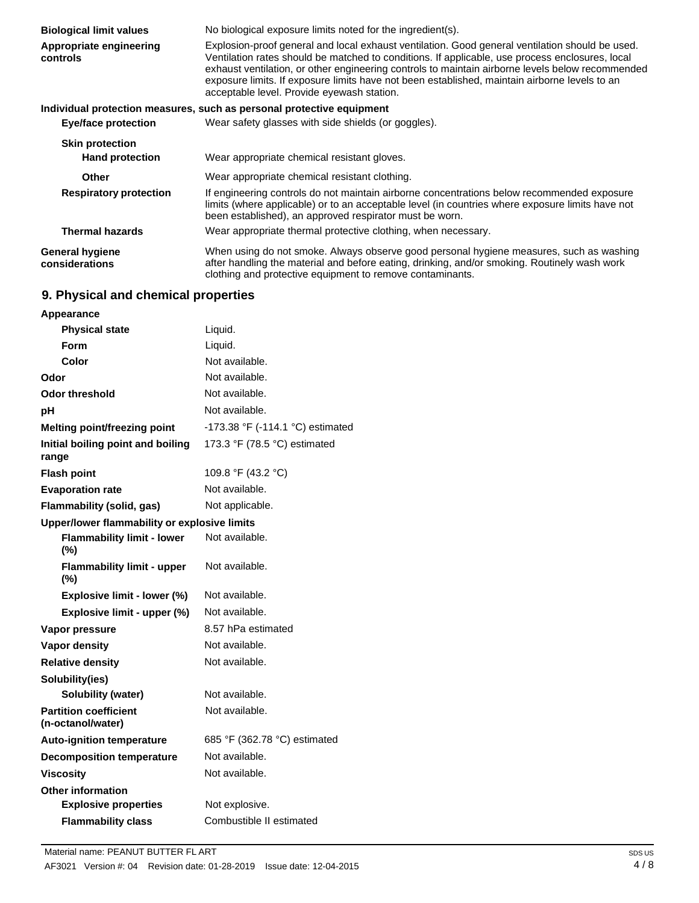| <b>Biological limit values</b>           | No biological exposure limits noted for the ingredient(s).                                                                                                                                                                                                                                                                                                                                                                                            |
|------------------------------------------|-------------------------------------------------------------------------------------------------------------------------------------------------------------------------------------------------------------------------------------------------------------------------------------------------------------------------------------------------------------------------------------------------------------------------------------------------------|
| Appropriate engineering<br>controls      | Explosion-proof general and local exhaust ventilation. Good general ventilation should be used.<br>Ventilation rates should be matched to conditions. If applicable, use process enclosures, local<br>exhaust ventilation, or other engineering controls to maintain airborne levels below recommended<br>exposure limits. If exposure limits have not been established, maintain airborne levels to an<br>acceptable level. Provide eyewash station. |
|                                          | Individual protection measures, such as personal protective equipment                                                                                                                                                                                                                                                                                                                                                                                 |
| <b>Eye/face protection</b>               | Wear safety glasses with side shields (or goggles).                                                                                                                                                                                                                                                                                                                                                                                                   |
| <b>Skin protection</b>                   |                                                                                                                                                                                                                                                                                                                                                                                                                                                       |
| <b>Hand protection</b>                   | Wear appropriate chemical resistant gloves.                                                                                                                                                                                                                                                                                                                                                                                                           |
| <b>Other</b>                             | Wear appropriate chemical resistant clothing.                                                                                                                                                                                                                                                                                                                                                                                                         |
| <b>Respiratory protection</b>            | If engineering controls do not maintain airborne concentrations below recommended exposure<br>limits (where applicable) or to an acceptable level (in countries where exposure limits have not<br>been established), an approved respirator must be worn.                                                                                                                                                                                             |
| <b>Thermal hazards</b>                   | Wear appropriate thermal protective clothing, when necessary.                                                                                                                                                                                                                                                                                                                                                                                         |
| <b>General hygiene</b><br>considerations | When using do not smoke. Always observe good personal hygiene measures, such as washing<br>after handling the material and before eating, drinking, and/or smoking. Routinely wash work<br>clothing and protective equipment to remove contaminants.                                                                                                                                                                                                  |

## **9. Physical and chemical properties**

| <b>Appearance</b>                                 |                                  |
|---------------------------------------------------|----------------------------------|
| <b>Physical state</b>                             | Liquid.                          |
| Form                                              | Liquid.                          |
| Color                                             | Not available.                   |
| Odor                                              | Not available.                   |
| <b>Odor threshold</b>                             | Not available.                   |
| рH                                                | Not available.                   |
| <b>Melting point/freezing point</b>               | -173.38 °F (-114.1 °C) estimated |
| Initial boiling point and boiling<br>range        | 173.3 °F (78.5 °C) estimated     |
| <b>Flash point</b>                                | 109.8 °F (43.2 °C)               |
| <b>Evaporation rate</b>                           | Not available.                   |
| Flammability (solid, gas)                         | Not applicable.                  |
| Upper/lower flammability or explosive limits      |                                  |
| <b>Flammability limit - lower</b><br>(%)          | Not available.                   |
| <b>Flammability limit - upper</b><br>(%)          | Not available.                   |
| Explosive limit - lower (%)                       | Not available.                   |
| Explosive limit - upper (%)                       | Not available.                   |
| Vapor pressure                                    | 8.57 hPa estimated               |
| Vapor density                                     | Not available.                   |
| <b>Relative density</b>                           | Not available.                   |
| Solubility(ies)                                   |                                  |
| Solubility (water)                                | Not available.                   |
| <b>Partition coefficient</b><br>(n-octanol/water) | Not available.                   |
| <b>Auto-ignition temperature</b>                  | 685 °F (362.78 °C) estimated     |
| <b>Decomposition temperature</b>                  | Not available.                   |
| <b>Viscosity</b>                                  | Not available.                   |
| <b>Other information</b>                          |                                  |
| <b>Explosive properties</b>                       | Not explosive.                   |
| <b>Flammability class</b>                         | Combustible II estimated         |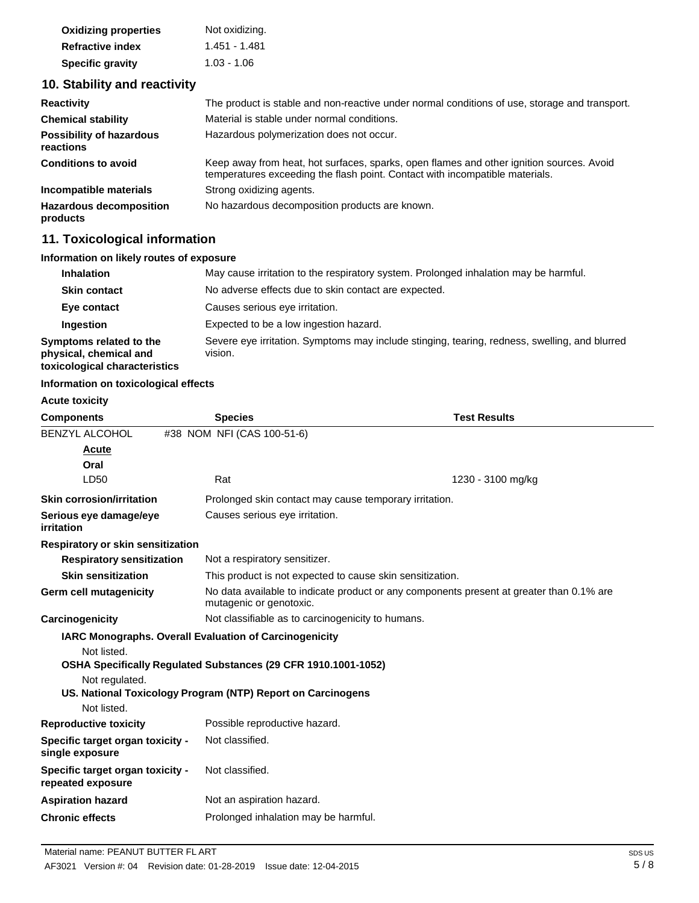| <b>Oxidizing properties</b> | Not oxidizing. |
|-----------------------------|----------------|
| <b>Refractive index</b>     | 1.451 - 1.481  |
| <b>Specific gravity</b>     | $1.03 - 1.06$  |

## **10. Stability and reactivity**

| <b>Reactivity</b>                            | The product is stable and non-reactive under normal conditions of use, storage and transport.                                                                            |
|----------------------------------------------|--------------------------------------------------------------------------------------------------------------------------------------------------------------------------|
| <b>Chemical stability</b>                    | Material is stable under normal conditions.                                                                                                                              |
| <b>Possibility of hazardous</b><br>reactions | Hazardous polymerization does not occur.                                                                                                                                 |
| <b>Conditions to avoid</b>                   | Keep away from heat, hot surfaces, sparks, open flames and other ignition sources. Avoid<br>temperatures exceeding the flash point. Contact with incompatible materials. |
| Incompatible materials                       | Strong oxidizing agents.                                                                                                                                                 |
| <b>Hazardous decomposition</b><br>products   | No hazardous decomposition products are known.                                                                                                                           |

## **11. Toxicological information**

## **Information on likely routes of exposure**

| <b>Inhalation</b>                                                                  | May cause irritation to the respiratory system. Prolonged inhalation may be harmful.                     |
|------------------------------------------------------------------------------------|----------------------------------------------------------------------------------------------------------|
| <b>Skin contact</b>                                                                | No adverse effects due to skin contact are expected.                                                     |
| Eye contact                                                                        | Causes serious eye irritation.                                                                           |
| Ingestion                                                                          | Expected to be a low ingestion hazard.                                                                   |
| Symptoms related to the<br>physical, chemical and<br>toxicological characteristics | Severe eye irritation. Symptoms may include stinging, tearing, redness, swelling, and blurred<br>vision. |

## **Information on toxicological effects**

**Acute toxicity**

| <b>Components</b>                                     | <b>Species</b>                                                 | <b>Test Results</b>                                                                      |  |
|-------------------------------------------------------|----------------------------------------------------------------|------------------------------------------------------------------------------------------|--|
| <b>BENZYL ALCOHOL</b>                                 | #38 NOM NFI (CAS 100-51-6)                                     |                                                                                          |  |
| Acute                                                 |                                                                |                                                                                          |  |
| Oral                                                  |                                                                |                                                                                          |  |
| LD50                                                  | Rat                                                            | 1230 - 3100 mg/kg                                                                        |  |
| <b>Skin corrosion/irritation</b>                      |                                                                | Prolonged skin contact may cause temporary irritation.                                   |  |
| Serious eye damage/eye<br>irritation                  | Causes serious eye irritation.                                 |                                                                                          |  |
| Respiratory or skin sensitization                     |                                                                |                                                                                          |  |
| <b>Respiratory sensitization</b>                      |                                                                | Not a respiratory sensitizer.                                                            |  |
| <b>Skin sensitization</b>                             |                                                                | This product is not expected to cause skin sensitization.                                |  |
| Germ cell mutagenicity                                | mutagenic or genotoxic.                                        | No data available to indicate product or any components present at greater than 0.1% are |  |
| Carcinogenicity                                       | Not classifiable as to carcinogenicity to humans.              |                                                                                          |  |
|                                                       | <b>IARC Monographs. Overall Evaluation of Carcinogenicity</b>  |                                                                                          |  |
| Not listed.                                           |                                                                |                                                                                          |  |
|                                                       | OSHA Specifically Regulated Substances (29 CFR 1910.1001-1052) |                                                                                          |  |
| Not regulated.                                        |                                                                |                                                                                          |  |
|                                                       | US. National Toxicology Program (NTP) Report on Carcinogens    |                                                                                          |  |
| Not listed.                                           |                                                                |                                                                                          |  |
| <b>Reproductive toxicity</b>                          | Possible reproductive hazard.                                  |                                                                                          |  |
| Specific target organ toxicity -<br>single exposure   | Not classified.                                                |                                                                                          |  |
| Specific target organ toxicity -<br>repeated exposure | Not classified.                                                |                                                                                          |  |
| <b>Aspiration hazard</b>                              | Not an aspiration hazard.                                      |                                                                                          |  |
| <b>Chronic effects</b>                                | Prolonged inhalation may be harmful.                           |                                                                                          |  |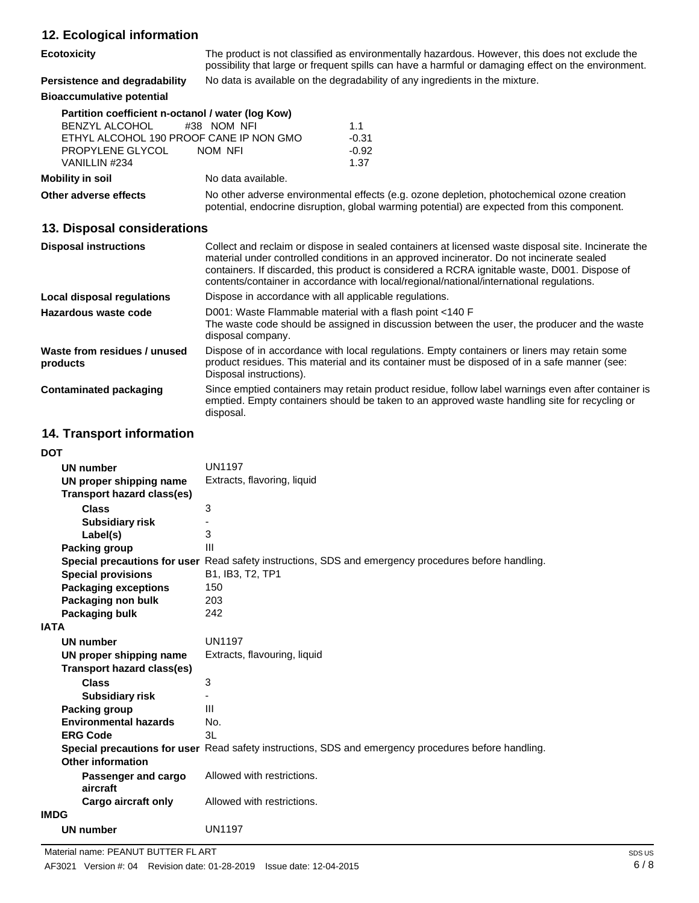| 12. Ecological information                                                                                                                                 |                                                                                                                                                                                            |                                                                                                                                                                                                                                                                                                                                                                                               |
|------------------------------------------------------------------------------------------------------------------------------------------------------------|--------------------------------------------------------------------------------------------------------------------------------------------------------------------------------------------|-----------------------------------------------------------------------------------------------------------------------------------------------------------------------------------------------------------------------------------------------------------------------------------------------------------------------------------------------------------------------------------------------|
| <b>Ecotoxicity</b>                                                                                                                                         |                                                                                                                                                                                            | The product is not classified as environmentally hazardous. However, this does not exclude the<br>possibility that large or frequent spills can have a harmful or damaging effect on the environment.                                                                                                                                                                                         |
| Persistence and degradability                                                                                                                              | No data is available on the degradability of any ingredients in the mixture.                                                                                                               |                                                                                                                                                                                                                                                                                                                                                                                               |
| <b>Bioaccumulative potential</b>                                                                                                                           |                                                                                                                                                                                            |                                                                                                                                                                                                                                                                                                                                                                                               |
| Partition coefficient n-octanol / water (log Kow)<br><b>BENZYL ALCOHOL</b><br>ETHYL ALCOHOL 190 PROOF CANE IP NON GMO<br>PROPYLENE GLYCOL<br>VANILLIN #234 | #38 NOM NFI<br>NOM NFI                                                                                                                                                                     | 1.1<br>$-0.31$<br>$-0.92$<br>1.37                                                                                                                                                                                                                                                                                                                                                             |
| <b>Mobility in soil</b>                                                                                                                                    | No data available.                                                                                                                                                                         |                                                                                                                                                                                                                                                                                                                                                                                               |
| Other adverse effects                                                                                                                                      | No other adverse environmental effects (e.g. ozone depletion, photochemical ozone creation<br>potential, endocrine disruption, global warming potential) are expected from this component. |                                                                                                                                                                                                                                                                                                                                                                                               |
| 13. Disposal considerations                                                                                                                                |                                                                                                                                                                                            |                                                                                                                                                                                                                                                                                                                                                                                               |
| <b>Disposal instructions</b>                                                                                                                               |                                                                                                                                                                                            | Collect and reclaim or dispose in sealed containers at licensed waste disposal site. Incinerate the<br>material under controlled conditions in an approved incinerator. Do not incinerate sealed<br>containers. If discarded, this product is considered a RCRA ignitable waste, D001. Dispose of<br>contents/container in accordance with local/regional/national/international regulations. |
| Local disposal regulations                                                                                                                                 | Dispose in accordance with all applicable regulations.                                                                                                                                     |                                                                                                                                                                                                                                                                                                                                                                                               |
| Hazardous waste code                                                                                                                                       | D001: Waste Flammable material with a flash point <140 F<br>The waste code should be assigned in discussion between the user, the producer and the waste<br>disposal company.              |                                                                                                                                                                                                                                                                                                                                                                                               |
| Waste from residues / unused<br>products                                                                                                                   | Dianonal inatruational                                                                                                                                                                     | Dispose of in accordance with local regulations. Empty containers or liners may retain some<br>product residues. This material and its container must be disposed of in a safe manner (see:                                                                                                                                                                                                   |

**Contaminated packaging** Disposal instructions). Since emptied containers may retain product residue, follow label warnings even after container is emptied. Empty containers should be taken to an approved waste handling site for recycling or disposal.

## **14. Transport information**

| DOT                               |                                                                                                             |
|-----------------------------------|-------------------------------------------------------------------------------------------------------------|
| <b>UN number</b>                  | <b>UN1197</b>                                                                                               |
| UN proper shipping name           | Extracts, flavoring, liquid                                                                                 |
| <b>Transport hazard class(es)</b> |                                                                                                             |
| <b>Class</b>                      | 3                                                                                                           |
| <b>Subsidiary risk</b>            |                                                                                                             |
| Label(s)                          | 3                                                                                                           |
| <b>Packing group</b>              | Ш                                                                                                           |
|                                   | <b>Special precautions for user</b> Read safety instructions, SDS and emergency procedures before handling. |
| <b>Special provisions</b>         | B1, IB3, T2, TP1                                                                                            |
| <b>Packaging exceptions</b>       | 150                                                                                                         |
| Packaging non bulk                | 203                                                                                                         |
| Packaging bulk                    | 242                                                                                                         |
| IATA                              |                                                                                                             |
| <b>UN number</b>                  | <b>UN1197</b>                                                                                               |
| UN proper shipping name           | Extracts, flavouring, liquid                                                                                |
| Transport hazard class(es)        |                                                                                                             |
| <b>Class</b>                      | 3                                                                                                           |
| <b>Subsidiary risk</b>            |                                                                                                             |
| Packing group                     | Ш                                                                                                           |
| <b>Environmental hazards</b>      | No.                                                                                                         |
| <b>ERG Code</b>                   | 3L                                                                                                          |
|                                   | Special precautions for user Read safety instructions, SDS and emergency procedures before handling.        |
| <b>Other information</b>          |                                                                                                             |
| Passenger and cargo               | Allowed with restrictions.                                                                                  |
| aircraft                          |                                                                                                             |
| <b>Cargo aircraft only</b>        | Allowed with restrictions.                                                                                  |
| IMDG                              |                                                                                                             |
| <b>UN number</b>                  | <b>UN1197</b>                                                                                               |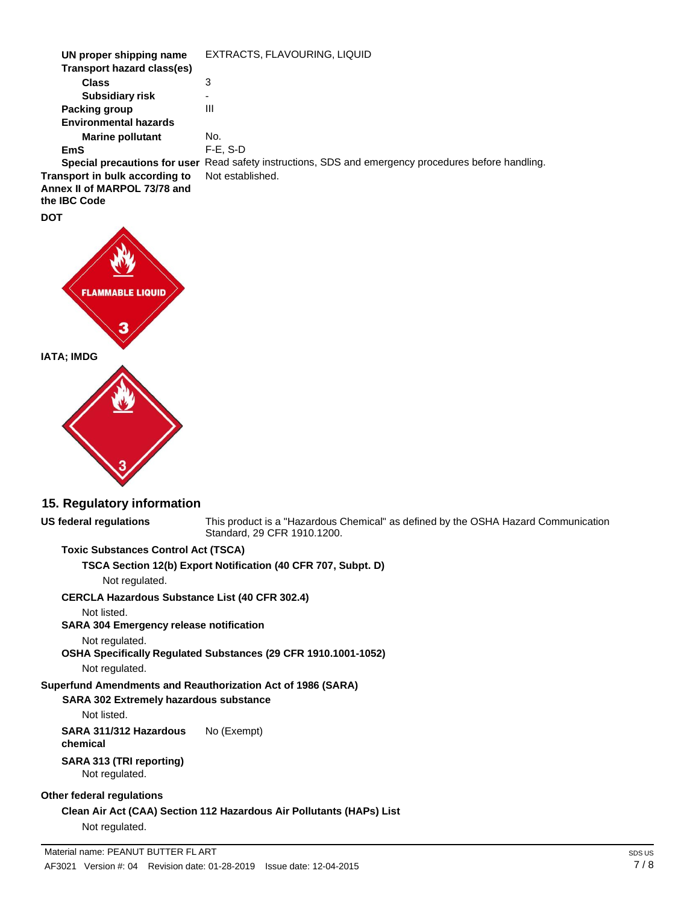| UN proper shipping name                                                        | EXTRACTS, FLAVOURING, LIQUID                                                                         |
|--------------------------------------------------------------------------------|------------------------------------------------------------------------------------------------------|
| Transport hazard class(es)                                                     |                                                                                                      |
| <b>Class</b>                                                                   | 3                                                                                                    |
| <b>Subsidiary risk</b>                                                         | ۰                                                                                                    |
| Packing group                                                                  | Ш                                                                                                    |
| <b>Environmental hazards</b>                                                   |                                                                                                      |
| <b>Marine pollutant</b>                                                        | No.                                                                                                  |
| EmS                                                                            | $F-E. S-D$                                                                                           |
|                                                                                | Special precautions for user Read safety instructions, SDS and emergency procedures before handling. |
| Transport in bulk according to<br>Annex II of MARPOL 73/78 and<br>the IBC Code | Not established.                                                                                     |
|                                                                                |                                                                                                      |

**FLAMMABLE IATA; IMDG**

**DOT**

### **15. Regulatory information**

This product is a "Hazardous Chemical" as defined by the OSHA Hazard Communication Standard, 29 CFR 1910.1200.

### **Toxic Substances Control Act (TSCA)**

**TSCA Section 12(b) Export Notification (40 CFR 707, Subpt. D)**

Not regulated.

**CERCLA Hazardous Substance List (40 CFR 302.4)**

Not listed.

**US federal regulations**

## **SARA 304 Emergency release notification**

Not regulated.

**OSHA Specifically Regulated Substances (29 CFR 1910.1001-1052)**

Not regulated.

## **Superfund Amendments and Reauthorization Act of 1986 (SARA)**

## **SARA 302 Extremely hazardous substance**

Not listed.

**SARA 311/312 Hazardous chemical** No (Exempt)

#### **SARA 313 (TRI reporting)** Not regulated.

## **Other federal regulations**

**Clean Air Act (CAA) Section 112 Hazardous Air Pollutants (HAPs) List** Not regulated.